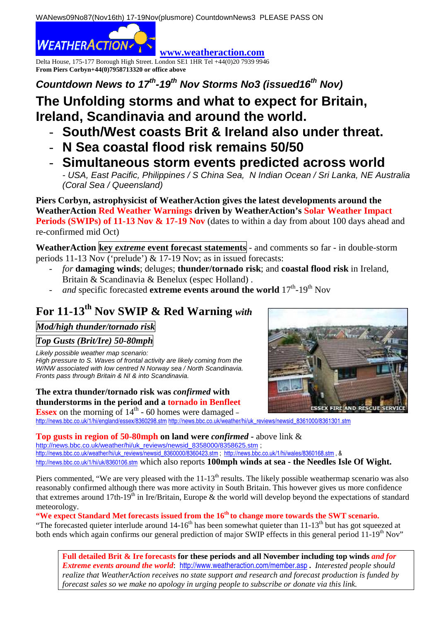WANews09No87(Nov16th) 17-19Nov(plusmore) CountdownNews3 PLEASE PASS ON

**WEATHERACTION** 

Delta House, 175-177 Borough High Street. London SE1 1HR Tel +44(0)20 7939 9946 **From Piers Corbyn+44(0)7958713320 or office above** 

**Countdown News to 17th-19th Nov Storms No3 (issued16th Nov)** 

## **The Unfolding storms and what to expect for Britain, Ireland, Scandinavia and around the world.**

**www.weatheraction.com**

- **South/West coasts Brit & Ireland also under threat.**
- **N Sea coastal flood risk remains 50/50**
- **Simultaneous storm events predicted across world**

- USA, East Pacific, Philippines / S China Sea, N Indian Ocean / Sri Lanka, NE Australia (Coral Sea / Queensland)

**Piers Corbyn, astrophysicist of WeatherAction gives the latest developments around the WeatherAction Red Weather Warnings driven by WeatherAction's Solar Weather Impact Periods (SWIPs) of 11-13 Nov & 17-19 Nov** (dates to within a day from about 100 days ahead and re-confirmed mid Oct)

**WeatherAction key** *extreme* **event forecast statements** - and comments so far - in double-storm periods 11-13 Nov ('prelude') & 17-19 Nov; as in issued forecasts:

- *for* **damaging winds**; deluges; **thunder/tornado risk**; and **coastal flood risk** in Ireland, Britain & Scandinavia & Benelux (espec Holland) .
- *and* specific forecasted **extreme events around the world**  $17<sup>th</sup>$ -19<sup>th</sup> Nov

# **For 11-13th Nov SWIP & Red Warning** *with*

*Mod/high thunder/tornado risk* 

*Top Gusts (Brit/Ire) 50-80mph* 

Likely possible weather map scenario:

High pressure to S. Waves of frontal activity are likely coming from the W/NW associated with low centred N Norway sea / North Scandinavia. Fronts pass through Britain & NI & into Scandinavia.

**The extra thunder/tornado risk was** *confirmed* **with thunderstorms in the period and a tornado in Benfleet Essex** on the morning of  $14<sup>th</sup>$  - 60 homes were damaged –

**SSEX FIRE AND RI** 

http://news.bbc.co.uk/1/hi/england/essex/836029<u>8.stm http://news.bbc.co.uk/weather/hi/uk\_reviews/newsid\_8361000/8361301.stm</u>

**Top gusts in region of 50-80mph on land were** *confirmed* **-** above link & http://news.bbc.co.uk/weather/hi/uk\_reviews/newsid\_8358000/8358625.stm; http://news.bbc.co.uk/weather/hi/uk\_reviews/newsid\_8360000/8360423.stm ; http://news.bbc.co.uk/1/hi/wales/8360168.stm , & http://news.bbc.co.uk/1/hi/uk/8360106.stm which also reports **100mph winds at sea - the Needles Isle Of Wight.**

Piers commented, "We are very pleased with the  $11-13<sup>th</sup>$  results. The likely possible weathermap scenario was also reasonably confirmed although there was more activity in South Britain. This however gives us more confidence that extremes around 17th-19th in Ire/Britain, Europe & the world will develop beyond the expectations of standard meteorology.

"We expect Standard Met forecasts issued from the 16<sup>th</sup> to change more towards the SWT scenario.

"The forecasted quieter interlude around 14-16<sup>th</sup> has been somewhat quieter than 11-13<sup>th</sup> but has got squeezed at both ends which again confirms our general prediction of major SWIP effects in this general period 11-19<sup>th</sup> Nov"

**Full detailed Brit & Ire forecasts for these periods and all November including top winds** *and for Extreme events around the world*: http://www.weatheraction.com/member.asp **.** *Interested people should realize that WeatherAction receives no state support and research and forecast production is funded by forecast sales so we make no apology in urging people to subscribe or donate via this link.*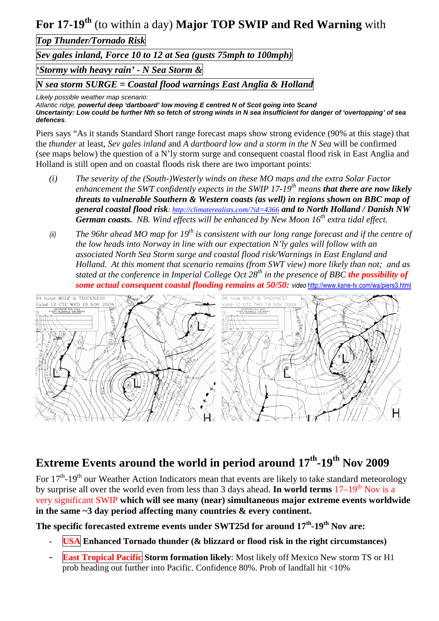For 17-19<sup>th</sup> (to within a day) Major TOP SWIP and Red Warning with

*Top Thunder/Tornado Risk* 

*Sev gales inland, Force 10 to 12 at Sea (gusts 75mph to 100mph)* 

*'Stormy with heavy rain' - N Sea Storm &* 

*N sea storm SURGE = Coastal flood warnings East Anglia & Holland* 

Likely possible weather map scenario:

Atlantic ridge, **powerful deep 'dartboard' low moving E centred N of Scot going into Scand Uncertainty: Low could be further Nth so fetch of strong winds in N sea insufficient for danger of 'overtopping' of sea defences**.

Piers says "As it stands Standard Short range forecast maps show strong evidence (90% at this stage) that the *thunder* at least, *Sev gales inland* and *A dartboard low and a storm in the N Sea* will be confirmed (see maps below) the question of a N'ly storm surge and consequent coastal flood risk in East Anglia and Holland is still open and on coastal floods risk there are two important points:

- *(i) The severity of the (South-)Westerly winds on these MO maps and the extra Solar Factor enhancement the SWT confidently expects in the SWIP 17-19th means that there are now likely threats to vulnerable Southern & Western coasts (as well) in regions shown on BBC map of general coastal flood risk: http://climaterealists.com/?id=4366 and to North Holland / Danish NW German coasts. NB. Wind effects will be enhanced by New Moon 16th extra tidal effect.*
- (ii) *The 96hr ahead MO map for 19th is consistent with our long range forecast and if the centre of the low heads into Norway in line with our expectation N'ly gales will follow with an associated North Sea Storm surge and coastal flood risk/Warnings in East England and Holland. At this moment that scenario remains (from SWT view) more likely than not; and as stated at the conference in Imperial College Oct 28th in the presence of BBC the possibility of some actual consequent coastal flooding remains at 50/50:* video http://www.kane-tv.com/wa/piers3.html



## **Extreme Events around the world in period around 17th-19th Nov 2009**

For 17<sup>th</sup>-19<sup>th</sup> our Weather Action Indicators mean that events are likely to take standard meteorology by surprise all over the world even from less than 3 days ahead. **In world terms** 17–19<sup>th</sup> Nov is a very significant SWIP **which will see many (near) simultaneous major extreme events worldwide in the same ~3 day period affecting many countries & every continent.** 

**The specific forecasted extreme events under SWT25d for around 17th-19th Nov are:** 

- **USA** Enhanced Tornado thunder (& blizzard or flood risk in the right circumstances)
- **East Tropical Pacific Storm formation likely**: Most likely off Mexico New storm TS or H1 prob heading out further into Pacific. Confidence 80%. Prob of landfall hit <10%